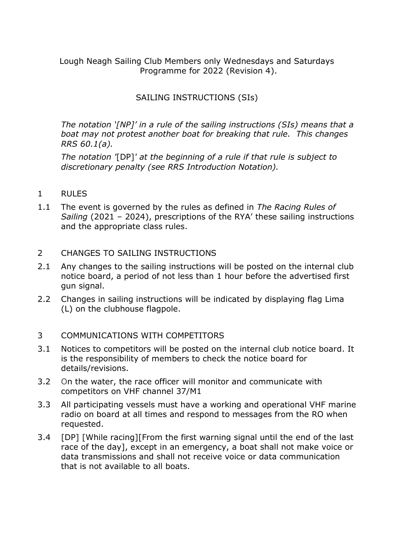Lough Neagh Sailing Club Members only Wednesdays and Saturdays Programme for 2022 (Revision 4).

# SAILING INSTRUCTIONS (SIs)

*The notation '[NP]' in a rule of the sailing instructions (SIs) means that a boat may not protest another boat for breaking that rule. This changes RRS 60.1(a).* 

*The notation '*[DP]*' at the beginning of a rule if that rule is subject to discretionary penalty (see RRS Introduction Notation).*

- 1 RULES
- 1.1 The event is governed by the rules as defined in *The Racing Rules of Sailing* (2021 – 2024), prescriptions of the RYA' these sailing instructions and the appropriate class rules.

#### 2 CHANGES TO SAILING INSTRUCTIONS

- 2.1 Any changes to the sailing instructions will be posted on the internal club notice board, a period of not less than 1 hour before the advertised first gun signal.
- 2.2 Changes in sailing instructions will be indicated by displaying flag Lima (L) on the clubhouse flagpole.

### 3 COMMUNICATIONS WITH COMPETITORS

- 3.1 Notices to competitors will be posted on the internal club notice board. It is the responsibility of members to check the notice board for details/revisions.
- 3.2 On the water, the race officer will monitor and communicate with competitors on VHF channel 37/M1
- 3.3 All participating vessels must have a working and operational VHF marine radio on board at all times and respond to messages from the RO when requested.
- 3.4 [DP] [While racing][From the first warning signal until the end of the last race of the day], except in an emergency, a boat shall not make voice or data transmissions and shall not receive voice or data communication that is not available to all boats.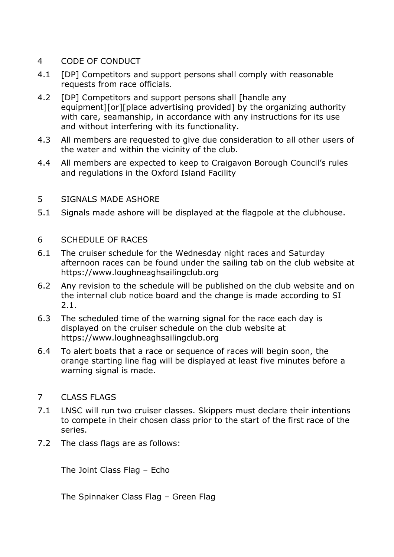- 4 CODE OF CONDUCT
- 4.1 [DP] Competitors and support persons shall comply with reasonable requests from race officials.
- 4.2 [DP] Competitors and support persons shall [handle any equipment][or][place advertising provided] by the organizing authority with care, seamanship, in accordance with any instructions for its use and without interfering with its functionality.
- 4.3 All members are requested to give due consideration to all other users of the water and within the vicinity of the club.
- 4.4 All members are expected to keep to Craigavon Borough Council's rules and regulations in the Oxford Island Facility
- 5 SIGNALS MADE ASHORE
- 5.1 Signals made ashore will be displayed at the flagpole at the clubhouse.
- 6 SCHEDULE OF RACES
- 6.1 The cruiser schedule for the Wednesday night races and Saturday afternoon races can be found under the sailing tab on the club website at https://www.loughneaghsailingclub.org
- 6.2 Any revision to the schedule will be published on the club website and on the internal club notice board and the change is made according to SI 2.1.
- 6.3 The scheduled time of the warning signal for the race each day is displayed on the cruiser schedule on the club website at https://www.loughneaghsailingclub.org
- 6.4 To alert boats that a race or sequence of races will begin soon, the orange starting line flag will be displayed at least five minutes before a warning signal is made.
- 7 CLASS FLAGS
- 7.1 LNSC will run two cruiser classes. Skippers must declare their intentions to compete in their chosen class prior to the start of the first race of the series.
- 7.2 The class flags are as follows:

The Joint Class Flag – Echo

The Spinnaker Class Flag – Green Flag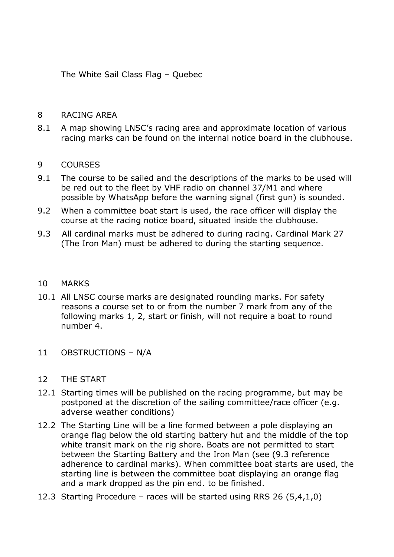The White Sail Class Flag – Quebec

#### 8 RACING AREA

8.1 A map showing LNSC's racing area and approximate location of various racing marks can be found on the internal notice board in the clubhouse.

### 9 COURSES

- 9.1 The course to be sailed and the descriptions of the marks to be used will be red out to the fleet by VHF radio on channel 37/M1 and where possible by WhatsApp before the warning signal (first gun) is sounded.
- 9.2 When a committee boat start is used, the race officer will display the course at the racing notice board, situated inside the clubhouse.
- 9.3 All cardinal marks must be adhered to during racing. Cardinal Mark 27 (The Iron Man) must be adhered to during the starting sequence.

### 10 MARKS

- 10.1 All LNSC course marks are designated rounding marks. For safety reasons a course set to or from the number 7 mark from any of the following marks 1, 2, start or finish, will not require a boat to round number 4.
- 11 OBSTRUCTIONS N/A
- 12 THE START
- 12.1 Starting times will be published on the racing programme, but may be postponed at the discretion of the sailing committee/race officer (e.g. adverse weather conditions)
- 12.2 The Starting Line will be a line formed between a pole displaying an orange flag below the old starting battery hut and the middle of the top white transit mark on the rig shore. Boats are not permitted to start between the Starting Battery and the Iron Man (see (9.3 reference adherence to cardinal marks). When committee boat starts are used, the starting line is between the committee boat displaying an orange flag and a mark dropped as the pin end. to be finished.
- 12.3 Starting Procedure races will be started using RRS 26 (5,4,1,0)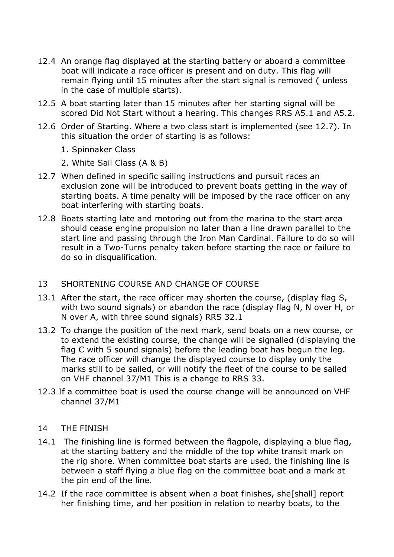- 12.4 An orange flag displayed at the starting battery or aboard a committee boat will indicate a race officer is present and on duty. This flag will remain flying until 15 minutes after the start signal is removed ( unless in the case of multiple starts).
- 12.5 A boat starting later than 15 minutes after her starting signal will be scored Did Not Start without a hearing. This changes RRS A5.1 and A5.2.
- 12.6 Order of Starting. Where a two class start is implemented (see 12.7). In this situation the order of starting is as follows:
	- 1. Spinnaker Class
	- 2. White Sail Class (A & B)
- 12.7 When defined in specific sailing instructions and pursuit races an exclusion zone will be introduced to prevent boats getting in the way of starting boats. A time penalty will be imposed by the race officer on any boat interfering with starting boats.
- 12.8 Boats starting late and motoring out from the marina to the start area should cease engine propulsion no later than a line drawn parallel to the start line and passing through the Iron Man Cardinal. Failure to do so will result in a Two-Turns penalty taken before starting the race or failure to do so in disqualification.

### 13 SHORTENING COURSE AND CHANGE OF COURSE

- 13.1 After the start, the race officer may shorten the course, (display flag S, with two sound signals) or abandon the race (display flag N, N over H, or N over A, with three sound signals) RRS 32.1
- 13.2 To change the position of the next mark, send boats on a new course, or to extend the existing course, the change will be signalled (displaying the flag C with 5 sound signals) before the leading boat has begun the leg. The race officer will change the displayed course to display only the marks still to be sailed, or will notify the fleet of the course to be sailed on VHF channel 37/M1 This is a change to RRS 33.
- 12.3 If a committee boat is used the course change will be announced on VHF channel 37/M1
- 14 THE FINISH
- 14.1 The finishing line is formed between the flagpole, displaying a blue flag, at the starting battery and the middle of the top white transit mark on the rig shore. When committee boat starts are used, the finishing line is between a staff flying a blue flag on the committee boat and a mark at the pin end of the line.
- 14.2 If the race committee is absent when a boat finishes, she[shall] report her finishing time, and her position in relation to nearby boats, to the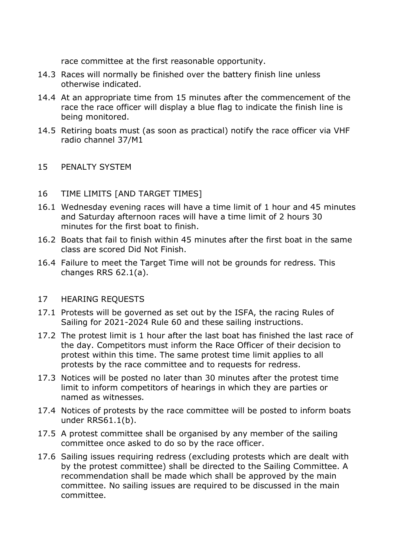race committee at the first reasonable opportunity.

- 14.3 Races will normally be finished over the battery finish line unless otherwise indicated.
- 14.4 At an appropriate time from 15 minutes after the commencement of the race the race officer will display a blue flag to indicate the finish line is being monitored.
- 14.5 Retiring boats must (as soon as practical) notify the race officer via VHF radio channel 37/M1

### 15 PENALTY SYSTEM

## 16 TIME LIMITS [AND TARGET TIMES]

- 16.1 Wednesday evening races will have a time limit of 1 hour and 45 minutes and Saturday afternoon races will have a time limit of 2 hours 30 minutes for the first boat to finish.
- 16.2 Boats that fail to finish within 45 minutes after the first boat in the same class are scored Did Not Finish.
- 16.4 Failure to meet the Target Time will not be grounds for redress. This changes RRS 62.1(a).

### 17 HEARING REQUESTS

- 17.1 Protests will be governed as set out by the ISFA, the racing Rules of Sailing for 2021-2024 Rule 60 and these sailing instructions.
- 17.2 The protest limit is 1 hour after the last boat has finished the last race of the day. Competitors must inform the Race Officer of their decision to protest within this time. The same protest time limit applies to all protests by the race committee and to requests for redress.
- 17.3 Notices will be posted no later than 30 minutes after the protest time limit to inform competitors of hearings in which they are parties or named as witnesses.
- 17.4 Notices of protests by the race committee will be posted to inform boats under RRS61.1(b).
- 17.5 A protest committee shall be organised by any member of the sailing committee once asked to do so by the race officer.
- 17.6 Sailing issues requiring redress (excluding protests which are dealt with by the protest committee) shall be directed to the Sailing Committee. A recommendation shall be made which shall be approved by the main committee. No sailing issues are required to be discussed in the main committee.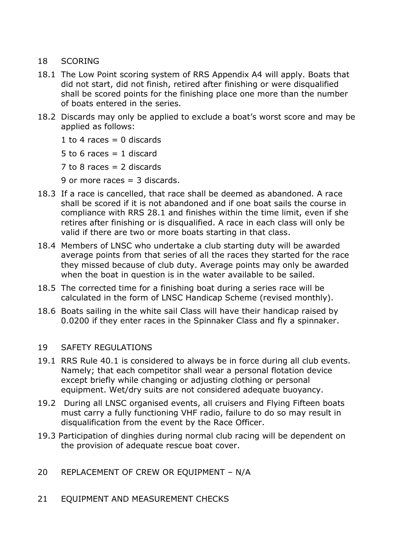### 18 SCORING

- 18.1 The Low Point scoring system of RRS Appendix A4 will apply. Boats that did not start, did not finish, retired after finishing or were disqualified shall be scored points for the finishing place one more than the number of boats entered in the series.
- 18.2 Discards may only be applied to exclude a boat's worst score and may be applied as follows:
	- 1 to 4 races  $= 0$  discards
	- 5 to 6 races  $=$  1 discard
	- $7$  to 8 races = 2 discards
	- 9 or more races = 3 discards.
- 18.3 If a race is cancelled, that race shall be deemed as abandoned. A race shall be scored if it is not abandoned and if one boat sails the course in compliance with RRS 28.1 and finishes within the time limit, even if she retires after finishing or is disqualified. A race in each class will only be valid if there are two or more boats starting in that class.
- 18.4 Members of LNSC who undertake a club starting duty will be awarded average points from that series of all the races they started for the race they missed because of club duty. Average points may only be awarded when the boat in question is in the water available to be sailed.
- 18.5 The corrected time for a finishing boat during a series race will be calculated in the form of LNSC Handicap Scheme (revised monthly).
- 18.6 Boats sailing in the white sail Class will have their handicap raised by 0.0200 if they enter races in the Spinnaker Class and fly a spinnaker.

### 19 SAFETY REGULATIONS

- 19.1 RRS Rule 40.1 is considered to always be in force during all club events. Namely; that each competitor shall wear a personal flotation device except briefly while changing or adjusting clothing or personal equipment. Wet/dry suits are not considered adequate buoyancy.
- 19.2 During all LNSC organised events, all cruisers and Flying Fifteen boats must carry a fully functioning VHF radio, failure to do so may result in disqualification from the event by the Race Officer.
- 19.3 Participation of dinghies during normal club racing will be dependent on the provision of adequate rescue boat cover.
- 20 REPLACEMENT OF CREW OR EQUIPMENT N/A
- 21 EQUIPMENT AND MEASUREMENT CHECKS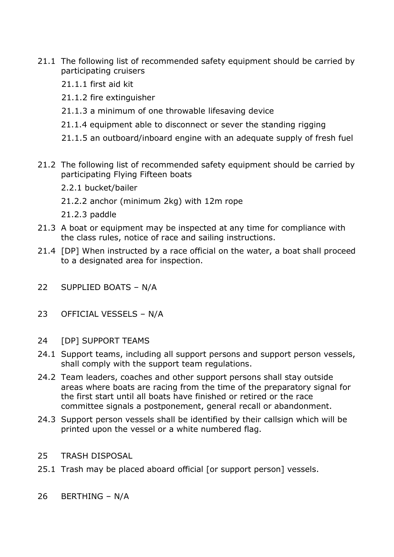- 21.1 The following list of recommended safety equipment should be carried by participating cruisers
	- 21.1.1 first aid kit
	- 21.1.2 fire extinguisher
	- 21.1.3 a minimum of one throwable lifesaving device
	- 21.1.4 equipment able to disconnect or sever the standing rigging
	- 21.1.5 an outboard/inboard engine with an adequate supply of fresh fuel
- 21.2 The following list of recommended safety equipment should be carried by participating Flying Fifteen boats
	- 2.2.1 bucket/bailer
	- 21.2.2 anchor (minimum 2kg) with 12m rope
	- 21.2.3 paddle
- 21.3 A boat or equipment may be inspected at any time for compliance with the class rules, notice of race and sailing instructions.
- 21.4 [DP] When instructed by a race official on the water, a boat shall proceed to a designated area for inspection.
- 22 SUPPLIED BOATS N/A
- 23 OFFICIAL VESSELS N/A
- 24 [DP] SUPPORT TEAMS
- 24.1 Support teams, including all support persons and support person vessels, shall comply with the support team regulations.
- 24.2 Team leaders, coaches and other support persons shall stay outside areas where boats are racing from the time of the preparatory signal for the first start until all boats have finished or retired or the race committee signals a postponement, general recall or abandonment.
- 24.3 Support person vessels shall be identified by their callsign which will be printed upon the vessel or a white numbered flag.
- 25 TRASH DISPOSAL
- 25.1 Trash may be placed aboard official [or support person] vessels.
- 26 BERTHING N/A